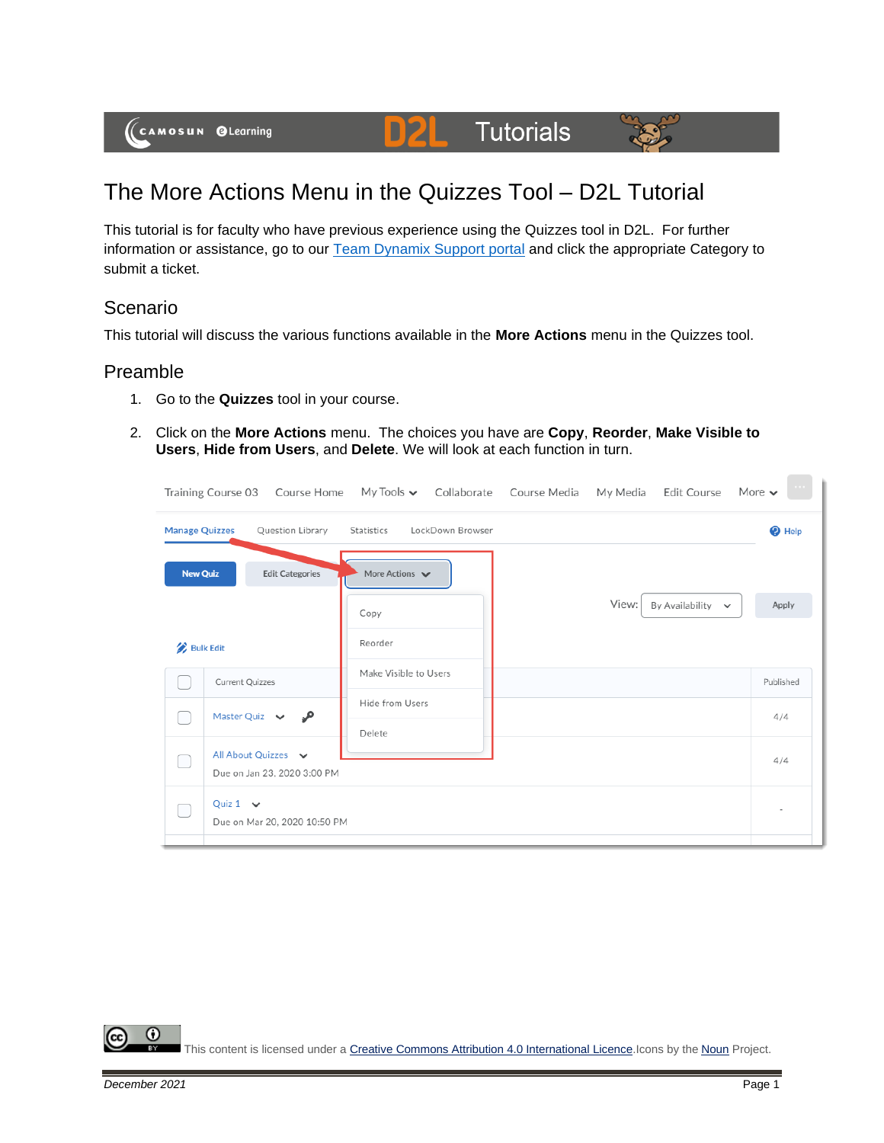

D)2

This tutorial is for faculty who have previous experience using the Quizzes tool in D2L. For further information or assistance, go to our [Team Dynamix Support portal](https://camosun.teamdynamix.com/TDClient/67/Portal/Requests/ServiceCatalog?CategoryID=523) and click the appropriate Category to submit a ticket.

## Scenario

This tutorial will discuss the various functions available in the **More Actions** menu in the Quizzes tool.

## Preamble

- 1. Go to the **Quizzes** tool in your course.
- 2. Click on the **More Actions** menu. The choices you have are **Copy**, **Reorder**, **Make Visible to Users**, **Hide from Users**, and **Delete**. We will look at each function in turn.

|                       | Training Course 03 Course Home My Tools v Collaborate Course Media |                                    |                  |       | My Media Edit Course More $\sim$ |                   |
|-----------------------|--------------------------------------------------------------------|------------------------------------|------------------|-------|----------------------------------|-------------------|
| <b>Manage Quizzes</b> | Question Library                                                   | Statistics                         | LockDown Browser |       |                                  | <sup>O</sup> Help |
| <b>New Quiz</b>       | <b>Edit Categories</b>                                             | More Actions $\blacktriangleright$ |                  |       |                                  |                   |
|                       |                                                                    | Copy                               |                  | View: | By Availability $\sim$           | Apply             |
| <b>Bulk Edit</b>      |                                                                    | Reorder                            |                  |       |                                  |                   |
|                       | Current Quizzes                                                    | Make Visible to Users              |                  |       |                                  | Published         |
|                       | Master Quiz $\vee$<br>مر                                           | Hide from Users<br>Delete          |                  |       |                                  | 4/4               |
|                       | All About Quizzes v<br>Due on Jan 23, 2020 3:00 PM                 |                                    |                  |       |                                  | 4/4               |
|                       | Quiz $1 \vee$<br>Due on Mar 20, 2020 10:50 PM                      |                                    |                  |       |                                  |                   |

⋒ This content is licensed under [a Creative Commons Attribution 4.0 International Licence.I](https://creativecommons.org/licenses/by/4.0/)cons by the [Noun](https://creativecommons.org/website-icons/) Project.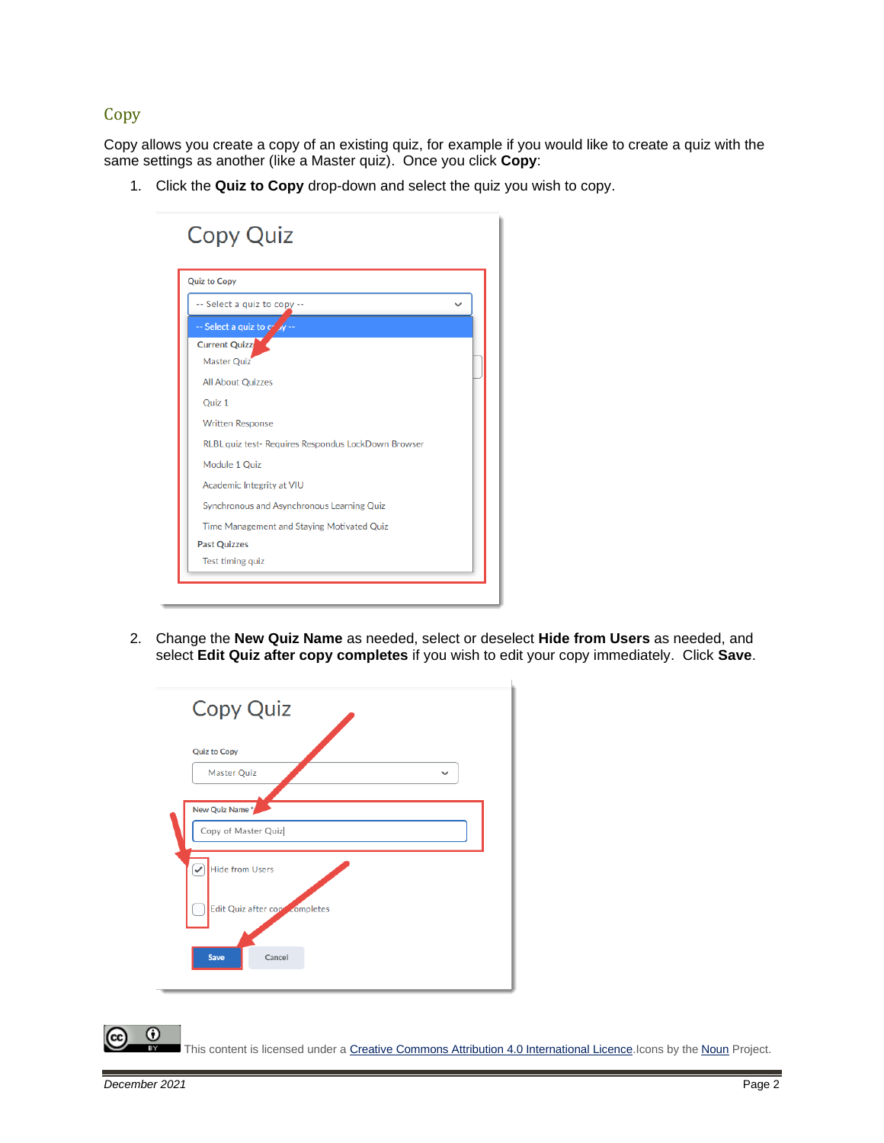#### **Copy**

Copy allows you create a copy of an existing quiz, for example if you would like to create a quiz with the same settings as another (like a Master quiz). Once you click **Copy**:

1. Click the **Quiz to Copy** drop-down and select the quiz you wish to copy.

| <b>Quiz to Copy</b>                                 |  |
|-----------------------------------------------------|--|
| -- Select a quiz to copy --                         |  |
| -- Select a quiz to $\alpha'$ y --                  |  |
| <b>Current Quizz</b>                                |  |
| Master Quiz                                         |  |
| <b>All About Quizzes</b>                            |  |
| Ouiz <sub>1</sub>                                   |  |
| <b>Written Response</b>                             |  |
| RLBL quiz test- Requires Respondus LockDown Browser |  |
| Module 1 Quiz                                       |  |
| Academic Integrity at VIU                           |  |
| Synchronous and Asynchronous Learning Quiz          |  |
| Time Management and Staying Motivated Quiz          |  |
| <b>Past Quizzes</b>                                 |  |
| Test timing quiz                                    |  |

2. Change the **New Quiz Name** as needed, select or deselect **Hide from Users** as needed, and select **Edit Quiz after copy completes** if you wish to edit your copy immediately. Click **Save**.

| <b>Copy Quiz</b>                                              |  |
|---------------------------------------------------------------|--|
| <b>Quiz to Copy</b>                                           |  |
| <b>Master Quiz</b><br>$\check{ }$                             |  |
| New Quiz Name*<br>Copy of Master Quiz                         |  |
| <b>Hide from Users</b><br>✓<br>Edit Quiz after copy completes |  |
| <b>Save</b><br>Cancel                                         |  |

This content is licensed under [a Creative Commons Attribution 4.0 International Licence.I](https://creativecommons.org/licenses/by/4.0/)cons by the [Noun](https://creativecommons.org/website-icons/) Project.

 $\Omega$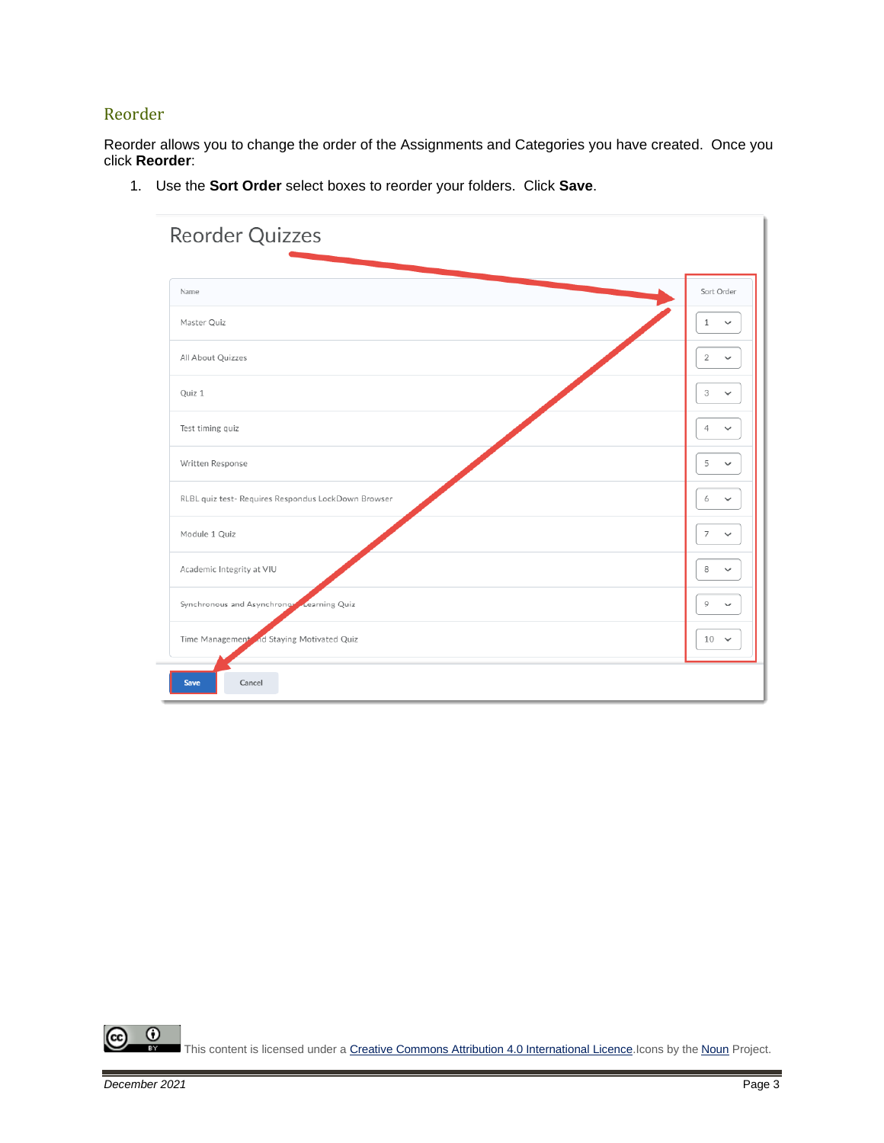## Reorder

Reorder allows you to change the order of the Assignments and Categories you have created. Once you click **Reorder**:

1. Use the **Sort Order** select boxes to reorder your folders. Click **Save**.

| Reorder Quizzes                                     |                                |
|-----------------------------------------------------|--------------------------------|
| Name                                                | Sort Order                     |
| Master Quiz                                         | $\mathbf{1}$<br>$\checkmark$   |
| All About Quizzes                                   | 2<br>$\checkmark$              |
| Quiz 1                                              | 3<br>$\checkmark$              |
| Test timing quiz                                    | 4<br>$\checkmark$              |
| Written Response                                    | 5<br>$\checkmark$              |
| RLBL quiz test- Requires Respondus LockDown Browser | 6<br>$\checkmark$              |
| Module 1 Quiz                                       | $\overline{7}$<br>$\checkmark$ |
| Academic Integrity at VIU                           | 8<br>$\checkmark$              |
| Synchronous and Asynchronov Learning Quiz           | 9<br>$\checkmark$              |
| Time Management and Staying Motivated Quiz          | $10 - 4$                       |
| Cancel<br><b>Save</b>                               |                                |

 $\overline{0}$ This content is licensed under [a Creative Commons Attribution 4.0 International Licence.I](https://creativecommons.org/licenses/by/4.0/)cons by the [Noun](https://creativecommons.org/website-icons/) Project.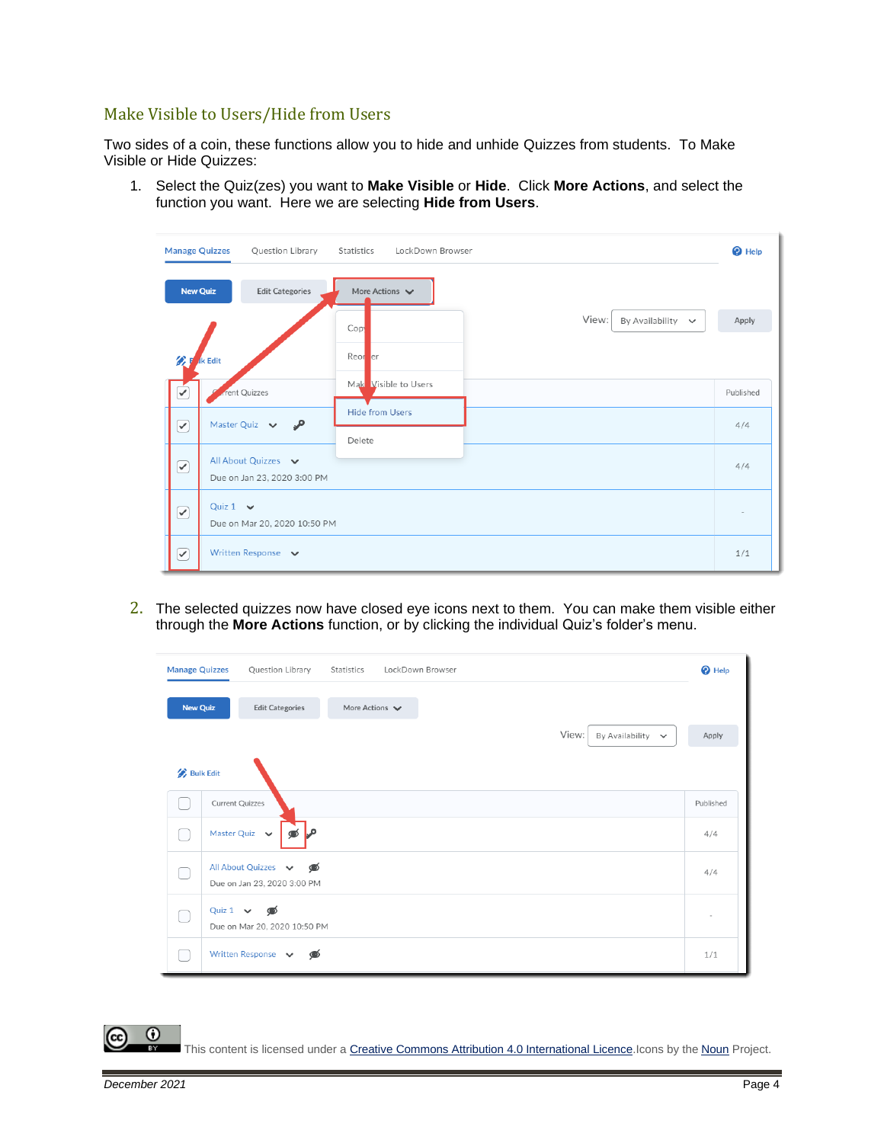### Make Visible to Users/Hide from Users

Two sides of a coin, these functions allow you to hide and unhide Quizzes from students. To Make Visible or Hide Quizzes:

1. Select the Quiz(zes) you want to **Make Visible** or **Hide**. Click **More Actions**, and select the function you want. Here we are selecting **Hide from Users**.

|                                                             | <b>Manage Quizzes</b><br>Question Library           | Statistics<br>LockDown Browser                      | $\bullet$ Help |
|-------------------------------------------------------------|-----------------------------------------------------|-----------------------------------------------------|----------------|
|                                                             | <b>New Quiz</b><br><b>Edit Categories</b>           | More Actions $\vee$                                 |                |
|                                                             |                                                     | View:<br>By Availability $\sim$<br>Cop <sup>1</sup> | Apply          |
| 公目                                                          | k Edit                                              | Reor er                                             |                |
| $\checkmark$                                                | rent Quizzes                                        | Mak Visible to Users                                | Published      |
| $(\blacktriangledown)$                                      | Master Quiz $\vee$<br>مى                            | <b>Hide from Users</b>                              | 4/4            |
|                                                             | All About Quizzes v                                 | Delete                                              | 4/4            |
| $\boxed{\blacktriangledown}$<br>Due on Jan 23, 2020 3:00 PM |                                                     |                                                     |                |
| $\curvearrowright$                                          | Quiz $1 \quad \vee$<br>Due on Mar 20, 2020 10:50 PM |                                                     |                |
| ☞                                                           | Written Response v                                  |                                                     | 1/1            |

2. The selected quizzes now have closed eye icons next to them. You can make them visible either through the **More Actions** function, or by clicking the individual Quiz's folder's menu.

| <b>Manage Quizzes</b> | Question Library<br>LockDown Browser<br>Statistics       | <sup>O</sup> Help |
|-----------------------|----------------------------------------------------------|-------------------|
| <b>New Quiz</b>       | More Actions $\vee$<br><b>Edit Categories</b>            |                   |
|                       | View:<br>By Availability $\sim$                          | Apply             |
| <b>Bulk Edit</b>      |                                                          |                   |
|                       | Current Quizzes                                          | Published         |
|                       | Master Quiz $\vee$                                       | 4/4               |
|                       | All About Quizzes v<br>⊛<br>Due on Jan 23, 2020 3:00 PM  | 4/4               |
|                       | Quiz $1 \quad \vee$<br>ை<br>Due on Mar 20, 2020 10:50 PM | ٠                 |
|                       | Written Response v<br>◉                                  | 1/1               |

This content is licensed under [a Creative Commons Attribution 4.0 International Licence.I](https://creativecommons.org/licenses/by/4.0/)cons by the [Noun](https://creativecommons.org/website-icons/) Project.

 $\Omega$